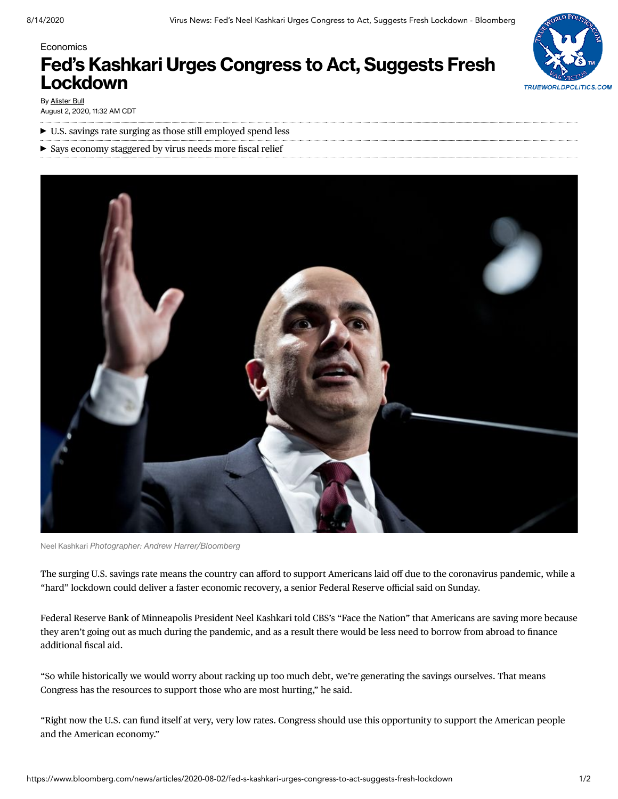# **TRUEWORLDPOLITICS.COM**

**Economics** 

# **Fed's Kashkari Urges Congress to Act, Suggests Fresh Lockdown**

By [Alister](https://www.bloomberg.com/authors/AR_gYqii_bE/alister-bull) Bull August 2, 2020, 11:32 AM CDT

- U.S. savings rate surging as those still employed spend less
- Says economy staggered by virus needs more fiscal relief



Neel Kashkari *Photographer: Andrew Harrer/Bloomberg*

The surging U.S. savings rate means the country can afford to support Americans laid off due to the coronavirus pandemic, while a "hard" lockdown could deliver a faster economic recovery, a senior Federal Reserve official said on Sunday.

Federal Reserve Bank of Minneapolis President Neel Kashkari told CBS's "Face the Nation" that Americans are saving more because they aren't going out as much during the pandemic, and as a result there would be less need to borrow from abroad to finance additional fiscal aid.

"So while historically we would worry about racking up too much debt, we're generating the savings ourselves. That means Congress has the resources to support those who are most hurting," he said.

"Right now the U.S. can fund itself at very, very low rates. Congress should use this opportunity to support the American people and the American economy."